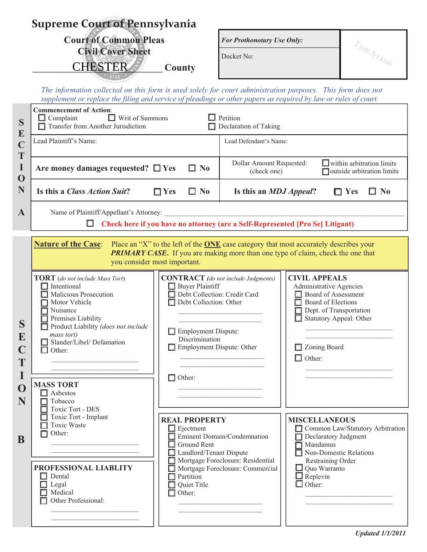| <b>Supreme Court of Pennsylvania</b> |                                                                                                                                                                                                                                                                                                                                |                                                                                                                                                                                                                                     |                                                                                                      |                                                                                                                                                                                                          |                                                                |  |  |
|--------------------------------------|--------------------------------------------------------------------------------------------------------------------------------------------------------------------------------------------------------------------------------------------------------------------------------------------------------------------------------|-------------------------------------------------------------------------------------------------------------------------------------------------------------------------------------------------------------------------------------|------------------------------------------------------------------------------------------------------|----------------------------------------------------------------------------------------------------------------------------------------------------------------------------------------------------------|----------------------------------------------------------------|--|--|
|                                      | <b>Court of Common Pleas</b>                                                                                                                                                                                                                                                                                                   |                                                                                                                                                                                                                                     | <b>For Prothonotary Use Only:</b>                                                                    |                                                                                                                                                                                                          |                                                                |  |  |
|                                      | <b>Civil Cover Sheet</b><br><b>CHESTER</b>                                                                                                                                                                                                                                                                                     |                                                                                                                                                                                                                                     | Docket No:                                                                                           |                                                                                                                                                                                                          | TIME STAMP                                                     |  |  |
|                                      |                                                                                                                                                                                                                                                                                                                                | County                                                                                                                                                                                                                              |                                                                                                      |                                                                                                                                                                                                          |                                                                |  |  |
|                                      | The information collected on this form is used solely for court administration purposes. This form does not<br>supplement or replace the filing and service of pleadings or other papers as required by law or rules of court.                                                                                                 |                                                                                                                                                                                                                                     |                                                                                                      |                                                                                                                                                                                                          |                                                                |  |  |
| S<br>${\bf E}$                       | <b>Commencement of Action:</b><br>Petition<br>$\Box$ Complaint<br>$\Box$ Writ of Summons<br>$\Box$ Transfer from Another Jurisdiction<br>Declaration of Taking                                                                                                                                                                 |                                                                                                                                                                                                                                     |                                                                                                      |                                                                                                                                                                                                          |                                                                |  |  |
| $\mathbf C$<br>T                     | Lead Plaintiff's Name:                                                                                                                                                                                                                                                                                                         |                                                                                                                                                                                                                                     | Lead Defendant's Name:                                                                               |                                                                                                                                                                                                          |                                                                |  |  |
| $\bf{I}$<br>$\mathbf 0$              | Are money damages requested? $\Box$ Yes<br>П<br>$\mathbf{N_0}$                                                                                                                                                                                                                                                                 |                                                                                                                                                                                                                                     | Dollar Amount Requested:<br>(check one)                                                              |                                                                                                                                                                                                          | $\Box$ within arbitration limits<br>outside arbitration limits |  |  |
| N                                    | Is this a Class Action Suit?                                                                                                                                                                                                                                                                                                   | $\Box$ Yes<br>$\Box$ No                                                                                                                                                                                                             | Is this an <i>MDJ Appeal</i> ?                                                                       |                                                                                                                                                                                                          | $\square$ No<br>$\Box$ Yes                                     |  |  |
| $\mathbf A$                          | Name of Plaintiff/Appellant's Attorney:                                                                                                                                                                                                                                                                                        |                                                                                                                                                                                                                                     |                                                                                                      |                                                                                                                                                                                                          |                                                                |  |  |
|                                      | ш                                                                                                                                                                                                                                                                                                                              | Check here if you have no attorney (are a Self-Represented [Pro Se] Litigant)                                                                                                                                                       |                                                                                                      |                                                                                                                                                                                                          |                                                                |  |  |
|                                      | <b>Nature of the Case:</b><br>Place an "X" to the left of the <b>ONE</b> case category that most accurately describes your<br><b>PRIMARY CASE.</b> If you are making more than one type of claim, check the one that<br>you consider most important.                                                                           |                                                                                                                                                                                                                                     |                                                                                                      |                                                                                                                                                                                                          |                                                                |  |  |
| S<br>$\bf{E}$<br>T<br>I<br>O<br>N    | <b>TORT</b> (do not include Mass Tort)<br>$\Box$ Intentional<br>Malicious Prosecution<br>Motor Vehicle<br>Nuisance<br>Premises Liability<br>$\Box$ Product Liability ( <i>does not include</i><br>mass tort)<br>Slander/Libel/ Defamation<br>Other:<br>□<br><b>MASS TORT</b><br>$\Box$ Asbestos<br>Tobacco<br>Toxic Tort - DES | <b>CONTRACT</b> (do not include Judgments)<br><b>Buyer Plaintiff</b><br>Debt Collection: Credit Card<br>Debt Collection: Other<br>$\Box$ Employment Dispute:<br>Discrimination<br>$\Box$ Employment Dispute: Other<br>$\Box$ Other: |                                                                                                      | <b>CIVIL APPEALS</b><br>Administrative Agencies<br><b>Board of Assessment</b><br>Board of Elections<br>Dept. of Transportation<br><b>Statutory Appeal: Other</b><br>$\Box$ Zoning Board<br>$\Box$ Other: |                                                                |  |  |
| B                                    | Toxic Tort - Implant<br><b>Toxic Waste</b><br>П<br>$\Box$ Other:<br>PROFESSIONAL LIABLITY<br>Dental<br>$\Box$<br>$\Box$ Legal<br>Medical<br>Other Professional:                                                                                                                                                                | <b>REAL PROPERTY</b><br>$\Box$ Ejectment<br>$\Box$ Ground Rent<br>Landlord/Tenant Dispute<br>Partition<br>Quiet Title<br>Other:                                                                                                     | Eminent Domain/Condemnation<br>Mortgage Foreclosure: Residential<br>Mortgage Foreclosure: Commercial | <b>MISCELLANEOUS</b><br>Declaratory Judgment<br>$\Box$ Mandamus<br>Non-Domestic Relations<br>Restraining Order<br>$\Box$ Quo Warranto<br>$\Box$ Replevin<br>$\Box$ Other:                                | Common Law/Statutory Arbitration                               |  |  |